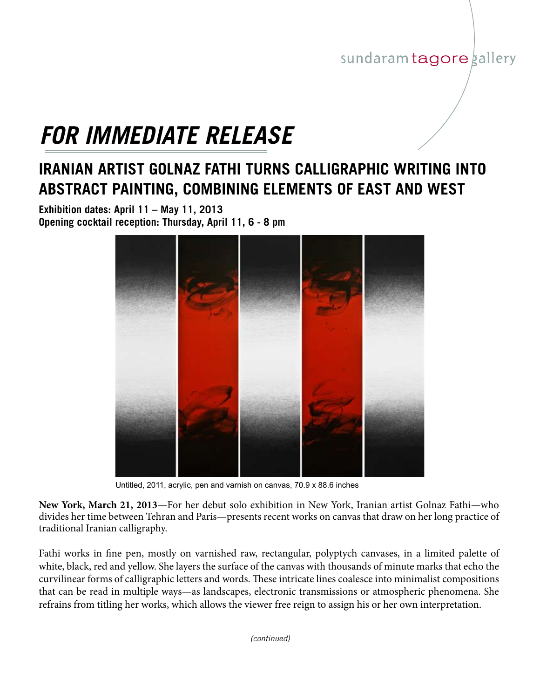## sundaram tagore gallery

## *FOR IMMEDIATE RELEASE*

## **IRANIAN ARTIST GOLNAZ FATHI TURNS CALLIGRAPHIC WRITING INTO ABSTRACT PAINTING, COMBINING ELEMENTS OF EAST AND WEST**

**Exhibition dates: April 11 – May 11, 2013 Opening cocktail reception: Thursday, April 11, 6 - 8 pm**



Untitled, 2011, acrylic, pen and varnish on canvas, 70.9 x 88.6 inches

**New York, March 21, 2013**—For her debut solo exhibition in New York, Iranian artist Golnaz Fathi—who divides her time between Tehran and Paris—presents recent works on canvas that draw on her long practice of traditional Iranian calligraphy.

Fathi works in fine pen, mostly on varnished raw, rectangular, polyptych canvases, in a limited palette of white, black, red and yellow. She layers the surface of the canvas with thousands of minute marks that echo the curvilinear forms of calligraphic letters and words. These intricate lines coalesce into minimalist compositions that can be read in multiple ways—as landscapes, electronic transmissions or atmospheric phenomena. She refrains from titling her works, which allows the viewer free reign to assign his or her own interpretation.

*(continued)*